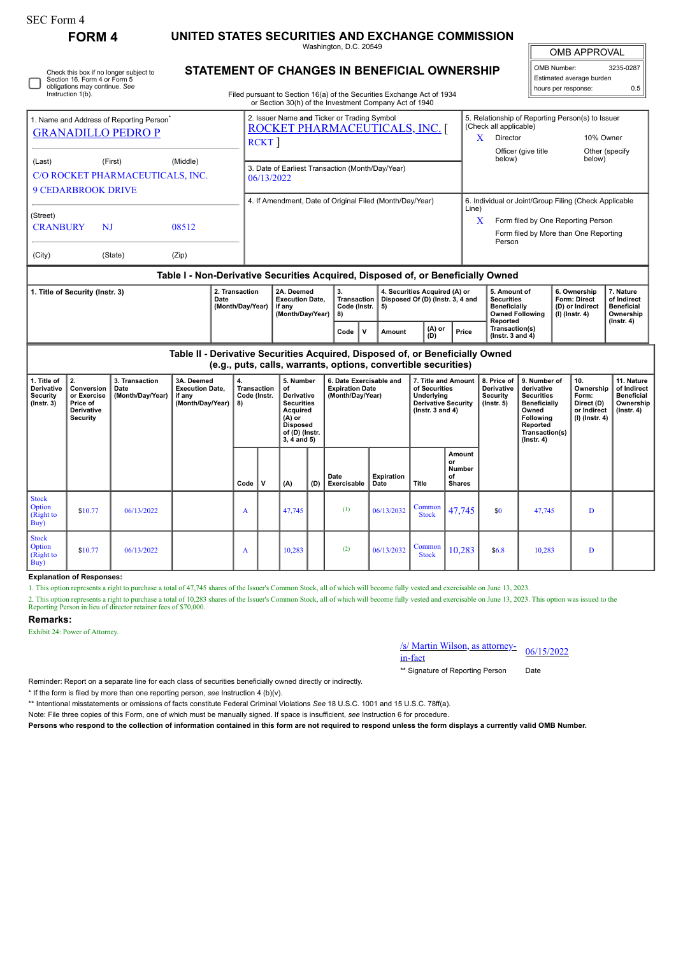| FORM 4 | UNITED STATES SECURITIES AND EXCHANGE COMMISSION |
|--------|--------------------------------------------------|
|--------|--------------------------------------------------|

Washington, D.C. 20549

Īī OMB APPROVAL ╗

|                                                                                                                              |                                                                               |                                                                                   |                                                                                                                                                     |                                                                |                                                                                                                                                                                  |              |                                                                                                                                    |                                                                                                                              |                                                                                                                                                 |             |                           |                                                                                                                   |                                                      |                                                                                              |                                                                                                                                                       |                                                                                | UIVID AFFRUVAL                                                              |                                                                                 |  |
|------------------------------------------------------------------------------------------------------------------------------|-------------------------------------------------------------------------------|-----------------------------------------------------------------------------------|-----------------------------------------------------------------------------------------------------------------------------------------------------|----------------------------------------------------------------|----------------------------------------------------------------------------------------------------------------------------------------------------------------------------------|--------------|------------------------------------------------------------------------------------------------------------------------------------|------------------------------------------------------------------------------------------------------------------------------|-------------------------------------------------------------------------------------------------------------------------------------------------|-------------|---------------------------|-------------------------------------------------------------------------------------------------------------------|------------------------------------------------------|----------------------------------------------------------------------------------------------|-------------------------------------------------------------------------------------------------------------------------------------------------------|--------------------------------------------------------------------------------|-----------------------------------------------------------------------------|---------------------------------------------------------------------------------|--|
| Check this box if no longer subject to<br>Section 16. Form 4 or Form 5<br>obligations may continue. See<br>Instruction 1(b). |                                                                               |                                                                                   |                                                                                                                                                     |                                                                | STATEMENT OF CHANGES IN BENEFICIAL OWNERSHIP<br>Filed pursuant to Section 16(a) of the Securities Exchange Act of 1934<br>or Section 30(h) of the Investment Company Act of 1940 |              |                                                                                                                                    |                                                                                                                              |                                                                                                                                                 |             |                           |                                                                                                                   |                                                      |                                                                                              |                                                                                                                                                       | OMB Number:                                                                    | Estimated average burden<br>hours per response:                             | 3235-0287<br>0.5                                                                |  |
|                                                                                                                              |                                                                               | 1. Name and Address of Reporting Person <sup>®</sup><br><b>GRANADILLO PEDRO P</b> |                                                                                                                                                     |                                                                |                                                                                                                                                                                  | <b>RCKT</b>  |                                                                                                                                    |                                                                                                                              | 2. Issuer Name and Ticker or Trading Symbol<br>ROCKET PHARMACEUTICALS, INC. [                                                                   |             |                           |                                                                                                                   |                                                      | 5. Relationship of Reporting Person(s) to Issuer<br>(Check all applicable)<br>Director<br>X. |                                                                                                                                                       |                                                                                | 10% Owner                                                                   |                                                                                 |  |
| (First)<br>(Middle)<br>(Last)<br>C/O ROCKET PHARMACEUTICALS, INC.<br><b>9 CEDARBROOK DRIVE</b>                               |                                                                               |                                                                                   |                                                                                                                                                     | 3. Date of Earliest Transaction (Month/Day/Year)<br>06/13/2022 |                                                                                                                                                                                  |              |                                                                                                                                    |                                                                                                                              |                                                                                                                                                 |             |                           |                                                                                                                   | below)                                               | Officer (give title                                                                          |                                                                                                                                                       | Other (specify<br>below)                                                       |                                                                             |                                                                                 |  |
| (Street)<br><b>CRANBURY</b><br>(City)                                                                                        | NJ                                                                            | (State)                                                                           | 08512<br>(Zip)                                                                                                                                      |                                                                |                                                                                                                                                                                  |              |                                                                                                                                    |                                                                                                                              | 4. If Amendment, Date of Original Filed (Month/Day/Year)                                                                                        |             |                           |                                                                                                                   | Line)                                                | 6. Individual or Joint/Group Filing (Check Applicable<br>X<br>Person                         |                                                                                                                                                       |                                                                                | Form filed by One Reporting Person<br>Form filed by More than One Reporting |                                                                                 |  |
|                                                                                                                              |                                                                               |                                                                                   | Table I - Non-Derivative Securities Acquired, Disposed of, or Beneficially Owned                                                                    |                                                                |                                                                                                                                                                                  |              |                                                                                                                                    |                                                                                                                              |                                                                                                                                                 |             |                           |                                                                                                                   |                                                      |                                                                                              |                                                                                                                                                       |                                                                                |                                                                             |                                                                                 |  |
|                                                                                                                              | 2. Transaction<br>1. Title of Security (Instr. 3)<br>Date<br>(Month/Day/Year) |                                                                                   |                                                                                                                                                     |                                                                | 2A. Deemed<br><b>Execution Date,</b><br>if anv<br>(Month/Day/Year)                                                                                                               |              |                                                                                                                                    | 3.<br>4. Securities Acquired (A) or<br>Transaction<br>Disposed Of (D) (Instr. 3, 4 and<br>Code (Instr.<br>5)<br>8)<br>(A) or |                                                                                                                                                 |             |                           | 5. Amount of<br><b>Securities</b><br><b>Beneficially</b><br><b>Owned Following</b><br>Reported<br>Transaction(s)  |                                                      | 6. Ownership<br>Form: Direct<br>(D) or Indirect<br>$(I)$ (Instr. 4)                          |                                                                                                                                                       | 7. Nature<br>of Indirect<br><b>Beneficial</b><br>Ownership<br>$($ Instr. 4 $)$ |                                                                             |                                                                                 |  |
| 1. Title of<br>Derivative<br>Security<br>$($ Instr. 3 $)$                                                                    | 2.<br>Conversion<br>or Exercise<br>Price of<br>Derivative<br><b>Security</b>  | 3. Transaction<br>Date<br>(Month/Day/Year)                                        | Table II - Derivative Securities Acquired, Disposed of, or Beneficially Owned<br>3A. Deemed<br><b>Execution Date,</b><br>if any<br>(Month/Day/Year) | 4.<br>8)                                                       | <b>Transaction</b><br>Code (Instr.                                                                                                                                               |              | 5. Number<br>of<br>Derivative<br><b>Securities</b><br>Acquired<br>$(A)$ or<br><b>Disposed</b><br>of (D) (Instr.<br>$3, 4$ and $5)$ |                                                                                                                              | Code<br>(e.g., puts, calls, warrants, options, convertible securities)<br>6. Date Exercisable and<br><b>Expiration Date</b><br>(Month/Day/Year) | $\mathbf v$ | Amount                    | (D)<br>7. Title and Amount<br>of Securities<br>Underlying<br><b>Derivative Security</b><br>$($ Instr. 3 and 4 $)$ | Price                                                | (Instr. $3$ and $4$ )<br>8. Price of<br>Derivative<br>Security<br>(Instr. 5)                 | 9. Number of<br>derivative<br><b>Securities</b><br><b>Beneficially</b><br>Owned<br><b>Following</b><br>Reported<br>Transaction(s)<br>$($ Instr. 4 $)$ |                                                                                | 10.<br>Ownership<br>Form:<br>Direct (D)<br>or Indirect<br>$(I)$ (Instr. 4)  | 11. Nature<br>of Indirect<br><b>Beneficial</b><br>Ownership<br>$($ Instr. 4 $)$ |  |
|                                                                                                                              |                                                                               |                                                                                   |                                                                                                                                                     |                                                                | Code                                                                                                                                                                             | $\mathbf{v}$ | (A)                                                                                                                                | (D)                                                                                                                          | Date<br>Exercisable                                                                                                                             |             | <b>Expiration</b><br>Date | Title                                                                                                             | Amount<br>or<br><b>Number</b><br>of<br><b>Shares</b> |                                                                                              |                                                                                                                                                       |                                                                                |                                                                             |                                                                                 |  |
| <b>Stock</b><br>Option<br>(Right to<br>Buy)                                                                                  | \$10.77                                                                       | 06/13/2022                                                                        |                                                                                                                                                     |                                                                | A                                                                                                                                                                                |              | 47,745                                                                                                                             |                                                                                                                              | (1)                                                                                                                                             |             | 06/13/2032                | Common<br><b>Stock</b>                                                                                            | 47,745                                               | \$0                                                                                          | 47,745                                                                                                                                                |                                                                                | D                                                                           |                                                                                 |  |
| <b>Stock</b><br>Option<br>(Right to                                                                                          | \$10.77                                                                       | 06/13/2022                                                                        |                                                                                                                                                     |                                                                | A                                                                                                                                                                                |              | 10,283                                                                                                                             |                                                                                                                              | (2)                                                                                                                                             |             | 06/13/2032                | Common<br><b>Stock</b>                                                                                            | 10,283                                               | \$6.8\$                                                                                      | 10,283                                                                                                                                                |                                                                                | D                                                                           |                                                                                 |  |

**Explanation of Responses:**

1. This option represents a right to purchase a total of 47,745 shares of the Issuer's Common Stock, all of which will become fully vested and exercisable on June 13, 2023.

2. This option represents a right to purchase a total of 10,283 shares of the Issuer's Common Stock, all of which will become fully vested and exercisable on June 13, 2023. This option was issued to the Reporting Person in

## **Remarks:**

 $\overrightarrow{Buy}$ 

Exhibit 24: Power of Attorney.

## /s/ Martin Wilson, as attorney-<br>in-fact

\*\* Signature of Reporting Person Date

Reminder: Report on a separate line for each class of securities beneficially owned directly or indirectly.

\* If the form is filed by more than one reporting person, *see* Instruction 4 (b)(v).

\*\* Intentional misstatements or omissions of facts constitute Federal Criminal Violations *See* 18 U.S.C. 1001 and 15 U.S.C. 78ff(a).

Note: File three copies of this Form, one of which must be manually signed. If space is insufficient, *see* Instruction 6 for procedure.

**Persons who respond to the collection of information contained in this form are not required to respond unless the form displays a currently valid OMB Number.**